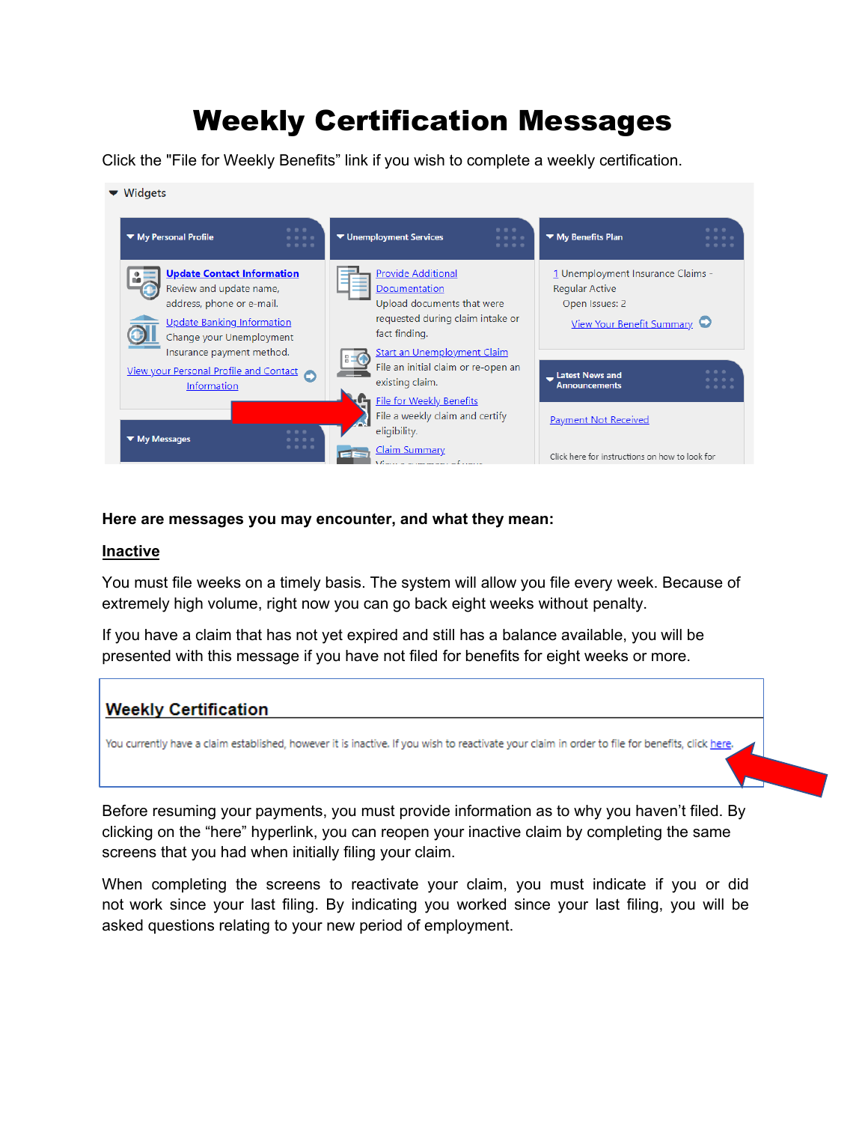# Weekly Certification Messages

Click the "File for Weekly Benefits" link if you wish to complete a weekly certification.

 $\blacktriangleright$  Widgets



### **Here are messages you may encounter, and what they mean:**

#### **Inactive**

You must file weeks on a timely basis. The system will allow you file every week. Because of extremely high volume, right now you can go back eight weeks without penalty.

If you have a claim that has not yet expired and still has a balance available, you will be presented with this message if you have not filed for benefits for eight weeks or more.

## **Weekly Certification**

You currently have a claim established, however it is inactive. If you wish to reactivate your claim in order to file for benefits, click here.

Before resuming your payments, you must provide information as to why you haven't filed. By clicking on the "here" hyperlink, you can reopen your inactive claim by completing the same screens that you had when initially filing your claim.

When completing the screens to reactivate your claim, you must indicate if you or did not work since your last filing. By indicating you worked since your last filing, you will be asked questions relating to your new period of employment.